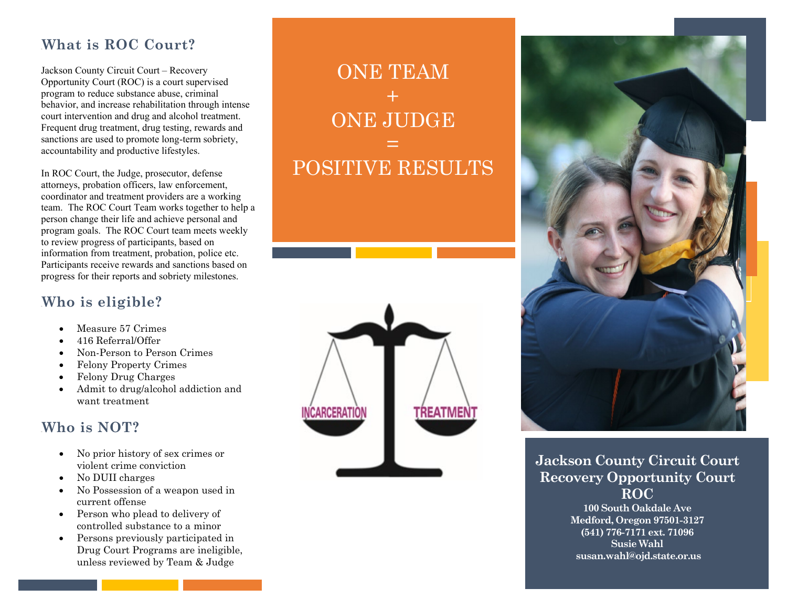## 0B**What is ROC Court?**

Jackson County Circuit Court – Recovery Opportunity Court (ROC) is a court supervised program to reduce substance abuse, criminal behavior, and increase rehabilitation through intense court intervention and drug and alcohol treatment. Frequent drug treatment, drug testing, rewards and sanctions are used to promote long-term sobriety, accountability and productive lifestyles.

In ROC Court, the Judge, prosecutor, defense attorneys, probation officers, law enforcement, coordinator and treatment providers are a working team. The ROC Court Team works together to help a person change their life and achieve personal and program goals. The ROC Court team meets weekly to review progress of participants, based on information from treatment, probation, police etc. Participants receive rewards and sanctions based on progress for their reports and sobriety milestones.

### 1B**Who is eligible?**

- Measure 57 Crimes
- 416 Referral/Offer
- Non-Person to Person Crimes
- Felony Property Crimes
- Felony Drug Charges
- Admit to drug/alcohol addiction and want treatment

## 2B**Who is NOT?**

- No prior history of sex crimes or violent crime conviction
- No DUII charges
- No Possession of a weapon used in current offense
- Person who plead to delivery of controlled substance to a minor
- Persons previously participated in Drug Court Programs are ineligible, unless reviewed by Team & Judge

## ONE TEAM  $+$ ONE JUDGE = POSITIVE RESULTS





**Jackson County Circuit Court Recovery Opportunity Court ROC**

> **100 South Oakdale Ave Medford, Oregon 97501-3127 (541) 776-7171 ext. 71096 Susie Wahl susan.wahl@ojd.state.or.us**